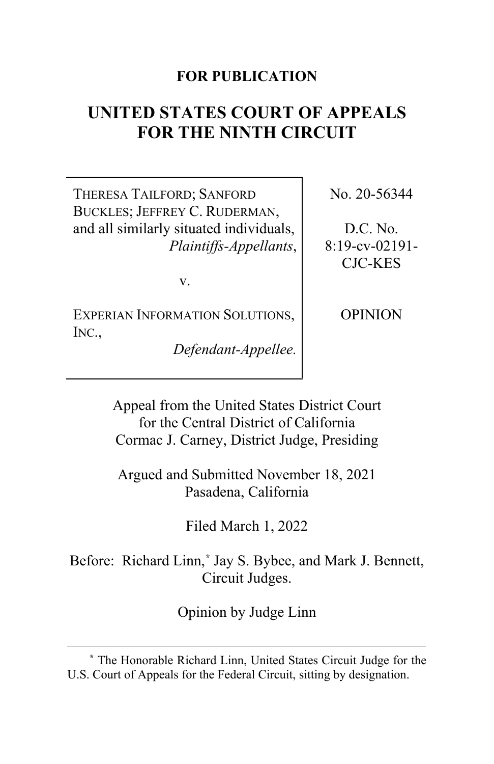### **FOR PUBLICATION**

# **UNITED STATES COURT OF APPEALS FOR THE NINTH CIRCUIT**

THERESA TAILFORD; SANFORD BUCKLES; JEFFREY C. RUDERMAN, and all similarly situated individuals, *Plaintiffs-Appellants*,

v.

EXPERIAN INFORMATION SOLUTIONS, INC.,

*Defendant-Appellee.*

No. 20-56344

D.C. No. 8:19-cv-02191- CJC-KES

OPINION

Appeal from the United States District Court for the Central District of California Cormac J. Carney, District Judge, Presiding

Argued and Submitted November 18, 2021 Pasadena, California

Filed March 1, 2022

Before: Richard Linn,**[\\*](#page-0-0)** Jay S. Bybee, and Mark J. Bennett, Circuit Judges.

Opinion by Judge Linn

<span id="page-0-0"></span>**<sup>\*</sup>** The Honorable Richard Linn, United States Circuit Judge for the U.S. Court of Appeals for the Federal Circuit, sitting by designation.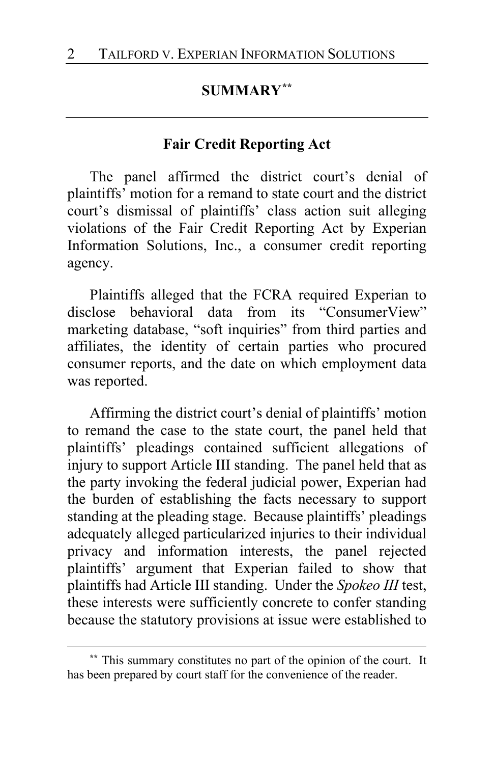## **SUMMARY[\\*\\*](#page-1-0)**

#### **Fair Credit Reporting Act**

The panel affirmed the district court's denial of plaintiffs' motion for a remand to state court and the district court's dismissal of plaintiffs' class action suit alleging violations of the Fair Credit Reporting Act by Experian Information Solutions, Inc., a consumer credit reporting agency.

Plaintiffs alleged that the FCRA required Experian to disclose behavioral data from its "ConsumerView" marketing database, "soft inquiries" from third parties and affiliates, the identity of certain parties who procured consumer reports, and the date on which employment data was reported.

Affirming the district court's denial of plaintiffs' motion to remand the case to the state court, the panel held that plaintiffs' pleadings contained sufficient allegations of injury to support Article III standing. The panel held that as the party invoking the federal judicial power, Experian had the burden of establishing the facts necessary to support standing at the pleading stage. Because plaintiffs' pleadings adequately alleged particularized injuries to their individual privacy and information interests, the panel rejected plaintiffs' argument that Experian failed to show that plaintiffs had Article III standing. Under the *Spokeo III* test, these interests were sufficiently concrete to confer standing because the statutory provisions at issue were established to

<span id="page-1-0"></span>**<sup>\*\*</sup>** This summary constitutes no part of the opinion of the court. It has been prepared by court staff for the convenience of the reader.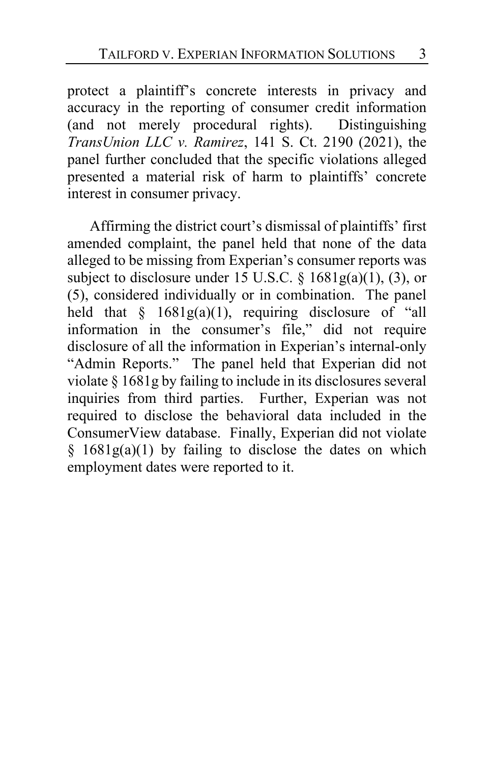protect a plaintiff's concrete interests in privacy and accuracy in the reporting of consumer credit information (and not merely procedural rights). Distinguishing *TransUnion LLC v. Ramirez*, 141 S. Ct. 2190 (2021), the panel further concluded that the specific violations alleged presented a material risk of harm to plaintiffs' concrete interest in consumer privacy.

Affirming the district court's dismissal of plaintiffs' first amended complaint, the panel held that none of the data alleged to be missing from Experian's consumer reports was subject to disclosure under 15 U.S.C.  $\S$  1681g(a)(1), (3), or (5), considered individually or in combination. The panel held that  $\S$  1681g(a)(1), requiring disclosure of "all information in the consumer's file," did not require disclosure of all the information in Experian's internal-only "Admin Reports." The panel held that Experian did not violate § 1681g by failing to include in its disclosures several inquiries from third parties. Further, Experian was not required to disclose the behavioral data included in the ConsumerView database. Finally, Experian did not violate  $§$  1681g(a)(1) by failing to disclose the dates on which employment dates were reported to it.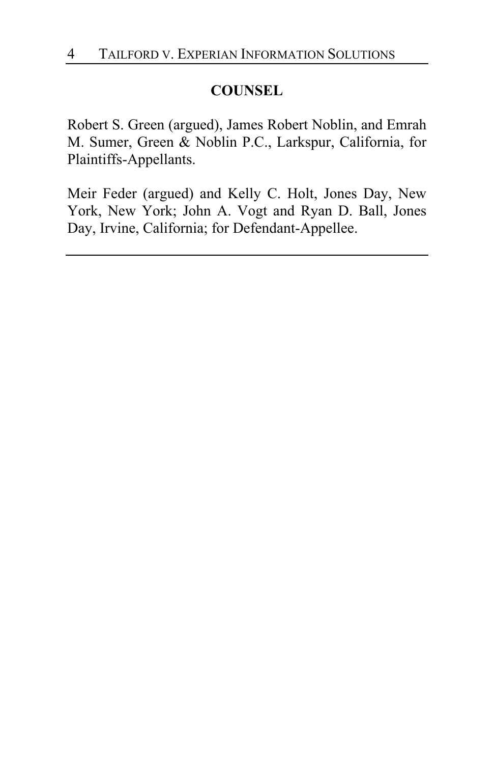## **COUNSEL**

Robert S. Green (argued), James Robert Noblin, and Emrah M. Sumer, Green & Noblin P.C., Larkspur, California, for Plaintiffs-Appellants.

Meir Feder (argued) and Kelly C. Holt, Jones Day, New York, New York; John A. Vogt and Ryan D. Ball, Jones Day, Irvine, California; for Defendant-Appellee.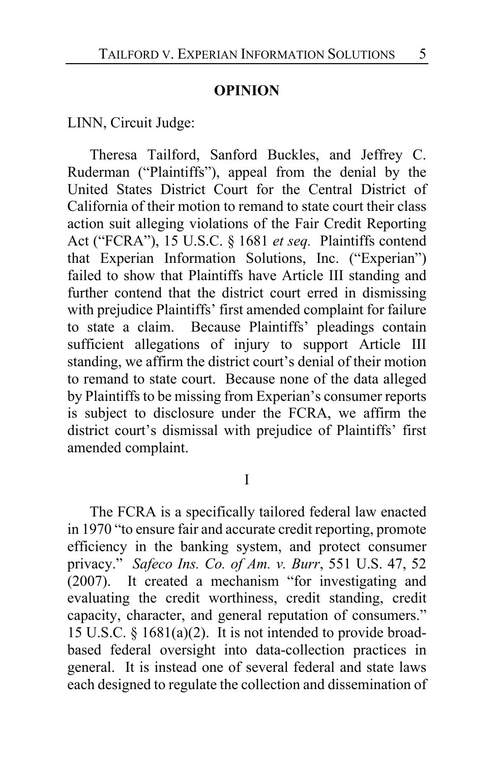#### **OPINION**

LINN, Circuit Judge:

Theresa Tailford, Sanford Buckles, and Jeffrey C. Ruderman ("Plaintiffs"), appeal from the denial by the United States District Court for the Central District of California of their motion to remand to state court their class action suit alleging violations of the Fair Credit Reporting Act ("FCRA"), 15 U.S.C. § 1681 *et seq.* Plaintiffs contend that Experian Information Solutions, Inc. ("Experian") failed to show that Plaintiffs have Article III standing and further contend that the district court erred in dismissing with prejudice Plaintiffs' first amended complaint for failure to state a claim. Because Plaintiffs' pleadings contain sufficient allegations of injury to support Article III standing, we affirm the district court's denial of their motion to remand to state court. Because none of the data alleged by Plaintiffs to be missing from Experian's consumer reports is subject to disclosure under the FCRA, we affirm the district court's dismissal with prejudice of Plaintiffs' first amended complaint.

I

The FCRA is a specifically tailored federal law enacted in 1970 "to ensure fair and accurate credit reporting, promote efficiency in the banking system, and protect consumer privacy." *Safeco Ins. Co. of Am. v. Burr*, 551 U.S. 47, 52 (2007). It created a mechanism "for investigating and evaluating the credit worthiness, credit standing, credit capacity, character, and general reputation of consumers." 15 U.S.C. § 1681(a)(2). It is not intended to provide broadbased federal oversight into data-collection practices in general. It is instead one of several federal and state laws each designed to regulate the collection and dissemination of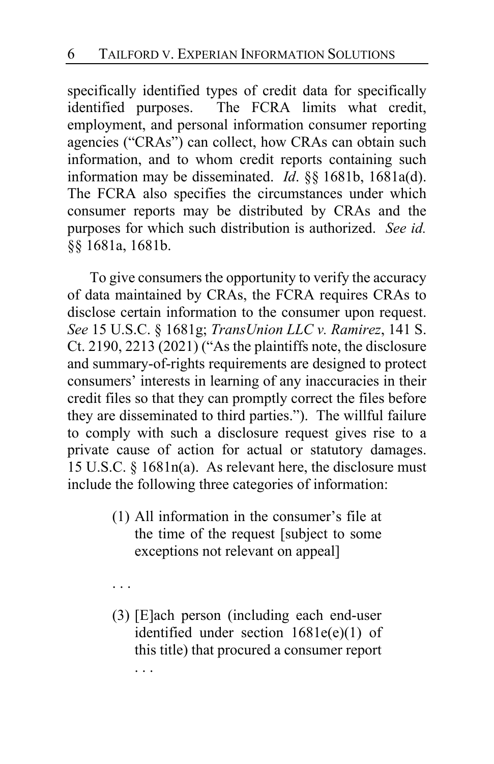specifically identified types of credit data for specifically identified purposes. The FCRA limits what credit, employment, and personal information consumer reporting agencies ("CRAs") can collect, how CRAs can obtain such information, and to whom credit reports containing such information may be disseminated. *Id*. §§ 1681b, 1681a(d). The FCRA also specifies the circumstances under which consumer reports may be distributed by CRAs and the purposes for which such distribution is authorized. *See id.*  §§ 1681a, 1681b.

To give consumers the opportunity to verify the accuracy of data maintained by CRAs, the FCRA requires CRAs to disclose certain information to the consumer upon request. *See* 15 U.S.C. § 1681g; *TransUnion LLC v. Ramirez*, 141 S. Ct. 2190, 2213 (2021) ("As the plaintiffs note, the disclosure and summary-of-rights requirements are designed to protect consumers' interests in learning of any inaccuracies in their credit files so that they can promptly correct the files before they are disseminated to third parties."). The willful failure to comply with such a disclosure request gives rise to a private cause of action for actual or statutory damages. 15 U.S.C. § 1681n(a). As relevant here, the disclosure must include the following three categories of information:

- (1) All information in the consumer's file at the time of the request [subject to some exceptions not relevant on appeal]
- . . .
- (3) [E]ach person (including each end-user identified under section 1681e(e)(1) of this title) that procured a consumer report . . .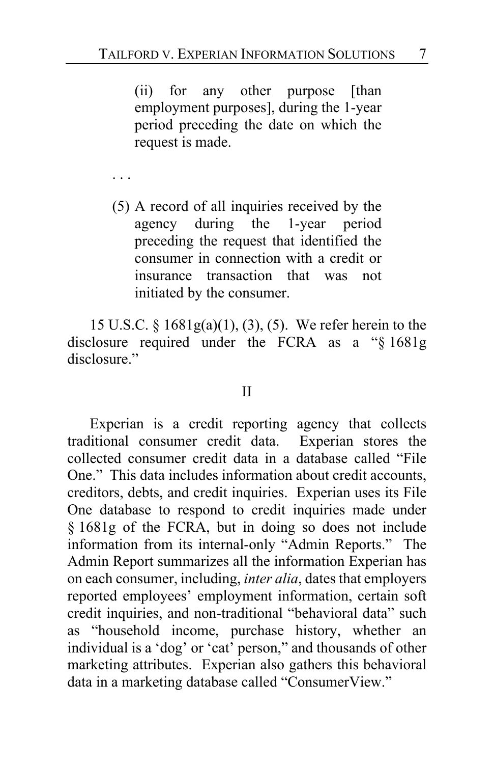(ii) for any other purpose [than employment purposes], during the 1-year period preceding the date on which the request is made.

. . .

(5) A record of all inquiries received by the agency during the 1-year period preceding the request that identified the consumer in connection with a credit or insurance transaction that was not initiated by the consumer.

15 U.S.C. § 1681g(a)(1), (3), (5). We refer herein to the disclosure required under the FCRA as a "§ 1681g disclosure."

#### II

Experian is a credit reporting agency that collects traditional consumer credit data. Experian stores the collected consumer credit data in a database called "File One." This data includes information about credit accounts, creditors, debts, and credit inquiries. Experian uses its File One database to respond to credit inquiries made under § 1681g of the FCRA, but in doing so does not include information from its internal-only "Admin Reports." The Admin Report summarizes all the information Experian has on each consumer, including, *inter alia*, dates that employers reported employees' employment information, certain soft credit inquiries, and non-traditional "behavioral data" such as "household income, purchase history, whether an individual is a 'dog' or 'cat' person," and thousands of other marketing attributes. Experian also gathers this behavioral data in a marketing database called "ConsumerView."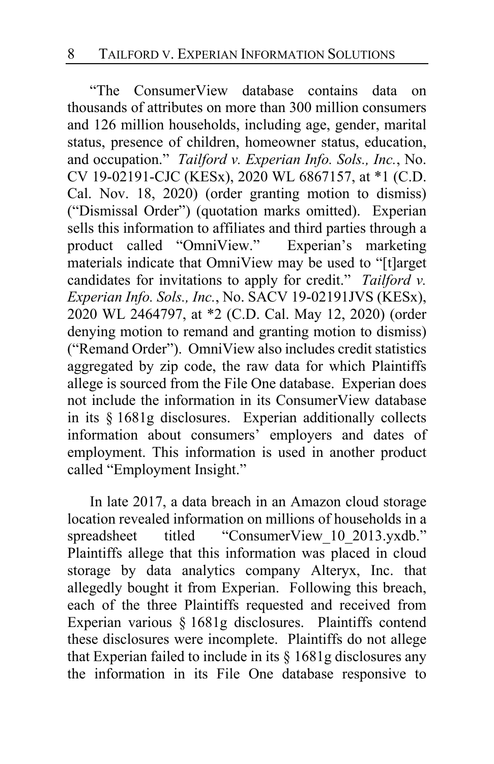"The ConsumerView database contains data on thousands of attributes on more than 300 million consumers and 126 million households, including age, gender, marital status, presence of children, homeowner status, education, and occupation." *Tailford v. Experian Info. Sols., Inc.*, No. CV 19-02191-CJC (KESx), 2020 WL 6867157, at \*1 (C.D. Cal. Nov. 18, 2020) (order granting motion to dismiss) ("Dismissal Order") (quotation marks omitted). Experian sells this information to affiliates and third parties through a<br>product called "OmniView." Experien's marketing product called "OmniView." materials indicate that OmniView may be used to "[t]arget candidates for invitations to apply for credit." *Tailford v. Experian Info. Sols., Inc.*, No. SACV 19-02191JVS (KESx), 2020 WL 2464797, at \*2 (C.D. Cal. May 12, 2020) (order denying motion to remand and granting motion to dismiss) ("Remand Order").OmniView also includes credit statistics aggregated by zip code, the raw data for which Plaintiffs allege is sourced from the File One database. Experian does not include the information in its ConsumerView database in its § 1681g disclosures. Experian additionally collects information about consumers' employers and dates of employment. This information is used in another product called "Employment Insight."

In late 2017, a data breach in an Amazon cloud storage location revealed information on millions of households in a spreadsheet titled "ConsumerView 10 2013.yxdb." Plaintiffs allege that this information was placed in cloud storage by data analytics company Alteryx, Inc. that allegedly bought it from Experian. Following this breach, each of the three Plaintiffs requested and received from Experian various § 1681g disclosures. Plaintiffs contend these disclosures were incomplete. Plaintiffs do not allege that Experian failed to include in its § 1681g disclosures any the information in its File One database responsive to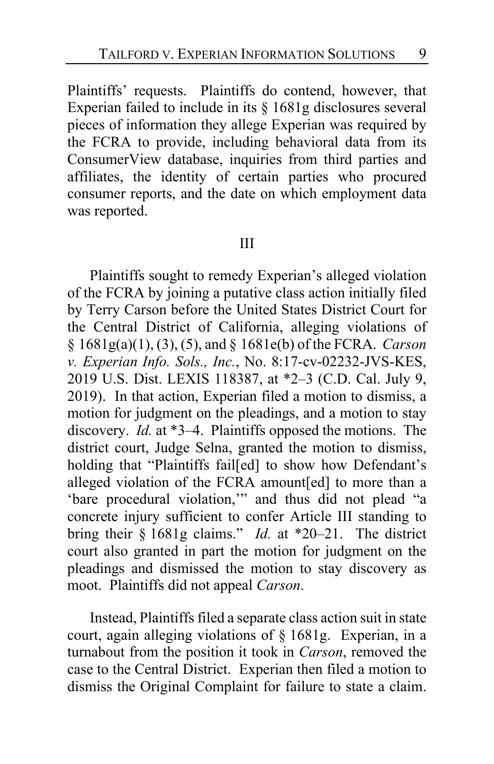Plaintiffs' requests. Plaintiffs do contend, however, that Experian failed to include in its § 1681g disclosures several pieces of information they allege Experian was required by the FCRA to provide, including behavioral data from its ConsumerView database, inquiries from third parties and affiliates, the identity of certain parties who procured consumer reports, and the date on which employment data was reported.

#### III

Plaintiffs sought to remedy Experian's alleged violation of the FCRA by joining a putative class action initially filed by Terry Carson before the United States District Court for the Central District of California, alleging violations of § 1681g(a)(1), (3), (5), and § 1681e(b) of the FCRA. *Carson v. Experian Info. Sols., Inc.*, No. 8:17-cv-02232-JVS-KES, 2019 U.S. Dist. LEXIS 118387, at \*2–3 (C.D. Cal. July 9, 2019). In that action, Experian filed a motion to dismiss, a motion for judgment on the pleadings, and a motion to stay discovery. *Id.* at \*3–4. Plaintiffs opposed the motions. The district court, Judge Selna, granted the motion to dismiss, holding that "Plaintiffs fail[ed] to show how Defendant's alleged violation of the FCRA amount[ed] to more than a 'bare procedural violation,'" and thus did not plead "a concrete injury sufficient to confer Article III standing to bring their § 1681g claims." *Id.* at \*20–21. The district court also granted in part the motion for judgment on the pleadings and dismissed the motion to stay discovery as moot. Plaintiffs did not appeal *Carson*.

Instead, Plaintiffs filed a separate class action suit in state court, again alleging violations of § 1681g. Experian, in a turnabout from the position it took in *Carson*, removed the case to the Central District. Experian then filed a motion to dismiss the Original Complaint for failure to state a claim.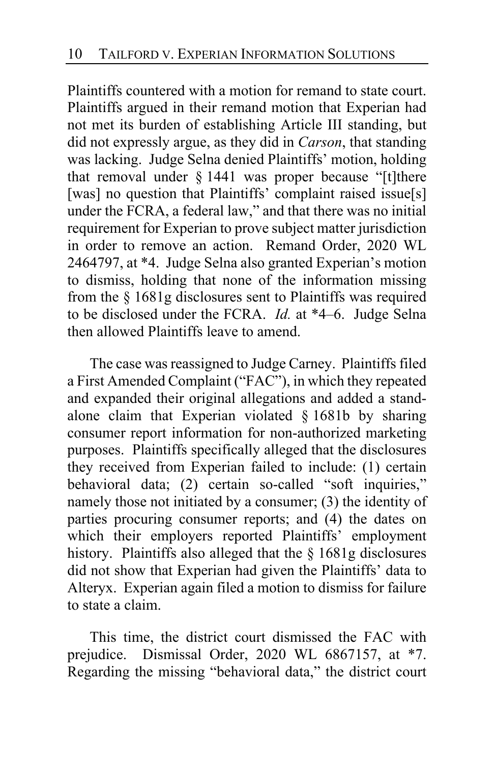Plaintiffs countered with a motion for remand to state court. Plaintiffs argued in their remand motion that Experian had not met its burden of establishing Article III standing, but did not expressly argue, as they did in *Carson*, that standing was lacking. Judge Selna denied Plaintiffs' motion, holding that removal under § 1441 was proper because "[t]there [was] no question that Plaintiffs' complaint raised issue[s] under the FCRA, a federal law," and that there was no initial requirement for Experian to prove subject matter jurisdiction in order to remove an action. Remand Order, 2020 WL 2464797, at \*4. Judge Selna also granted Experian's motion to dismiss, holding that none of the information missing from the § 1681g disclosures sent to Plaintiffs was required to be disclosed under the FCRA. *Id.* at \*4–6. Judge Selna then allowed Plaintiffs leave to amend.

The case was reassigned to Judge Carney. Plaintiffs filed a First Amended Complaint ("FAC"), in which they repeated and expanded their original allegations and added a standalone claim that Experian violated  $\S$  1681b by sharing consumer report information for non-authorized marketing purposes. Plaintiffs specifically alleged that the disclosures they received from Experian failed to include: (1) certain behavioral data; (2) certain so-called "soft inquiries," namely those not initiated by a consumer; (3) the identity of parties procuring consumer reports; and (4) the dates on which their employers reported Plaintiffs' employment history. Plaintiffs also alleged that the § 1681g disclosures did not show that Experian had given the Plaintiffs' data to Alteryx. Experian again filed a motion to dismiss for failure to state a claim.

This time, the district court dismissed the FAC with prejudice. Dismissal Order, 2020 WL 6867157, at \*7. Regarding the missing "behavioral data," the district court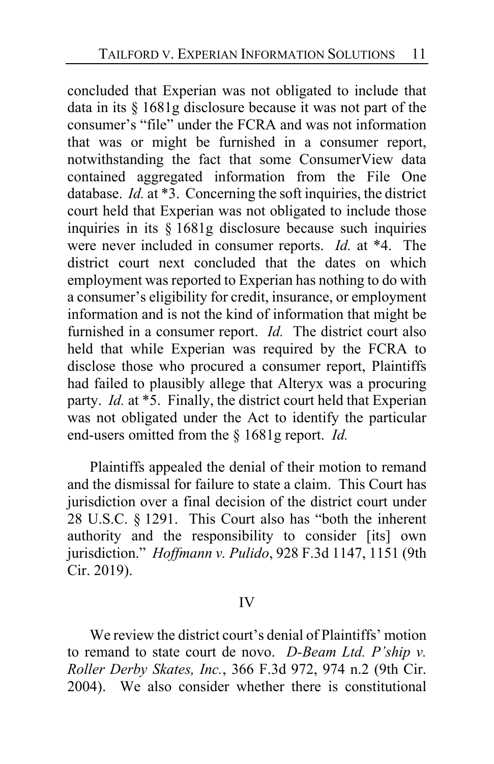concluded that Experian was not obligated to include that data in its § 1681g disclosure because it was not part of the consumer's "file" under the FCRA and was not information that was or might be furnished in a consumer report, notwithstanding the fact that some ConsumerView data contained aggregated information from the File One database. *Id.* at \*3. Concerning the soft inquiries, the district court held that Experian was not obligated to include those inquiries in its § 1681g disclosure because such inquiries were never included in consumer reports. *Id.* at \*4. The district court next concluded that the dates on which employment was reported to Experian has nothing to do with a consumer's eligibility for credit, insurance, or employment information and is not the kind of information that might be furnished in a consumer report. *Id.* The district court also held that while Experian was required by the FCRA to disclose those who procured a consumer report, Plaintiffs had failed to plausibly allege that Alteryx was a procuring party. *Id.* at \*5. Finally, the district court held that Experian was not obligated under the Act to identify the particular end-users omitted from the § 1681g report. *Id.*

Plaintiffs appealed the denial of their motion to remand and the dismissal for failure to state a claim. This Court has jurisdiction over a final decision of the district court under 28 U.S.C. § 1291. This Court also has "both the inherent authority and the responsibility to consider [its] own jurisdiction." *Hoffmann v. Pulido*, 928 F.3d 1147, 1151 (9th Cir. 2019).

#### IV

We review the district court's denial of Plaintiffs' motion to remand to state court de novo. *D-Beam Ltd. P'ship v. Roller Derby Skates, Inc.*, 366 F.3d 972, 974 n.2 (9th Cir. 2004). We also consider whether there is constitutional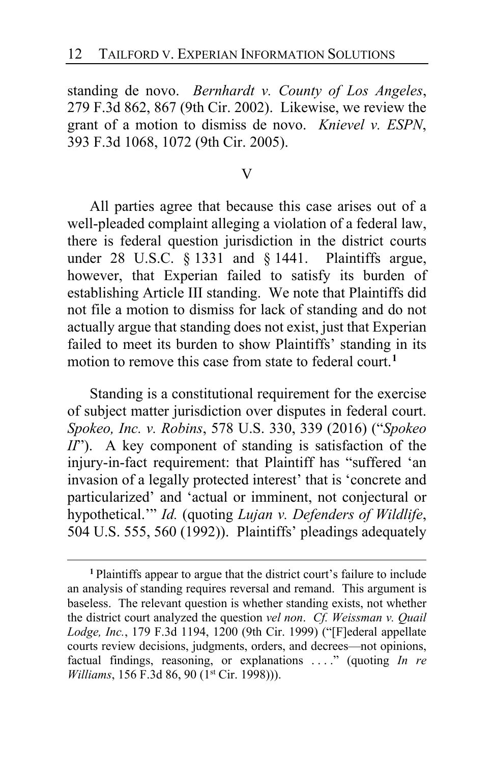standing de novo. *Bernhardt v. County of Los Angeles*, 279 F.3d 862, 867 (9th Cir. 2002). Likewise, we review the grant of a motion to dismiss de novo. *Knievel v. ESPN*, 393 F.3d 1068, 1072 (9th Cir. 2005).

V

All parties agree that because this case arises out of a well-pleaded complaint alleging a violation of a federal law, there is federal question jurisdiction in the district courts under 28 U.S.C. § 1331 and § 1441. Plaintiffs argue, however, that Experian failed to satisfy its burden of establishing Article III standing. We note that Plaintiffs did not file a motion to dismiss for lack of standing and do not actually argue that standing does not exist, just that Experian failed to meet its burden to show Plaintiffs' standing in its motion to remove this case from state to federal court.**[1](#page-11-0)**

Standing is a constitutional requirement for the exercise of subject matter jurisdiction over disputes in federal court. *Spokeo, Inc. v. Robins*, 578 U.S. 330, 339 (2016) ("*Spokeo II*"). A key component of standing is satisfaction of the injury-in-fact requirement: that Plaintiff has "suffered 'an invasion of a legally protected interest' that is 'concrete and particularized' and 'actual or imminent, not conjectural or hypothetical.'" *Id.* (quoting *Lujan v. Defenders of Wildlife*, 504 U.S. 555, 560 (1992)). Plaintiffs' pleadings adequately

<span id="page-11-0"></span>**<sup>1</sup>** Plaintiffs appear to argue that the district court's failure to include an analysis of standing requires reversal and remand. This argument is baseless. The relevant question is whether standing exists, not whether the district court analyzed the question *vel non*. *Cf. Weissman v. Quail Lodge, Inc.*, 179 F.3d 1194, 1200 (9th Cir. 1999) ("[F]ederal appellate courts review decisions, judgments, orders, and decrees—not opinions, factual findings, reasoning, or explanations . . . ." (quoting *In re Williams*, 156 F.3d 86, 90 (1<sup>st</sup> Cir. 1998))).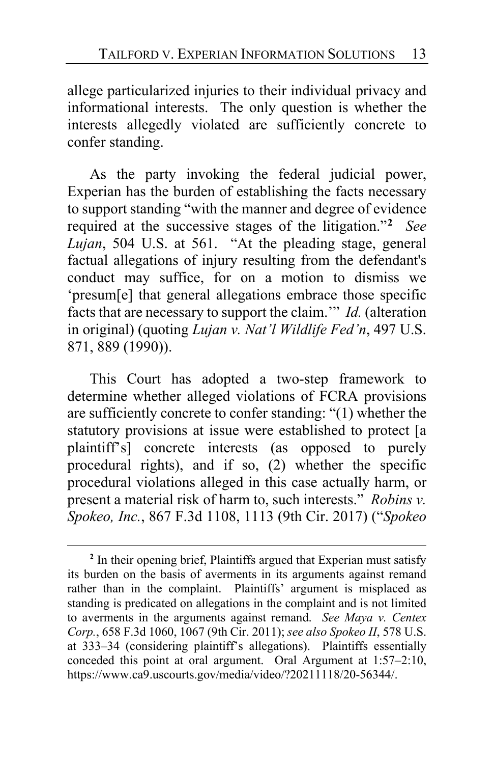allege particularized injuries to their individual privacy and informational interests. The only question is whether the interests allegedly violated are sufficiently concrete to confer standing.

As the party invoking the federal judicial power, Experian has the burden of establishing the facts necessary to support standing "with the manner and degree of evidence required at the successive stages of the litigation."**[2](#page-12-0)** *See Lujan*, 504 U.S. at 561. "At the pleading stage, general factual allegations of injury resulting from the defendant's conduct may suffice, for on a motion to dismiss we 'presum[e] that general allegations embrace those specific facts that are necessary to support the claim.'" *Id.* (alteration in original) (quoting *Lujan v. Nat'l Wildlife Fed'n*, 497 U.S. 871, 889 (1990)).

This Court has adopted a two-step framework to determine whether alleged violations of FCRA provisions are sufficiently concrete to confer standing: "(1) whether the statutory provisions at issue were established to protect [a plaintiff's] concrete interests (as opposed to purely procedural rights), and if so, (2) whether the specific procedural violations alleged in this case actually harm, or present a material risk of harm to, such interests." *Robins v. Spokeo, Inc.*, 867 F.3d 1108, 1113 (9th Cir. 2017) ("*Spokeo* 

<span id="page-12-0"></span>**<sup>2</sup>** In their opening brief, Plaintiffs argued that Experian must satisfy its burden on the basis of averments in its arguments against remand rather than in the complaint. Plaintiffs' argument is misplaced as standing is predicated on allegations in the complaint and is not limited to averments in the arguments against remand. *See Maya v. Centex Corp.*, 658 F.3d 1060, 1067 (9th Cir. 2011); *see also Spokeo II*, 578 U.S. at 333–34 (considering plaintiff's allegations). Plaintiffs essentially conceded this point at oral argument. Oral Argument at 1:57–2:10, https://www.ca9.uscourts.gov/media/video/?20211118/20-56344/.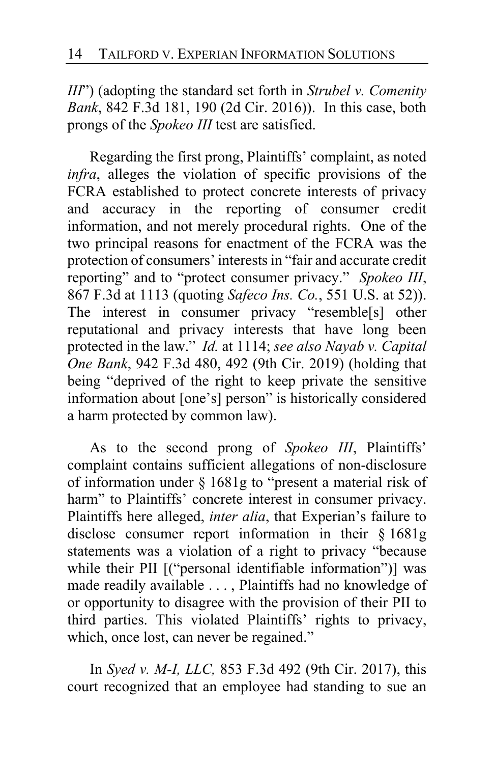*III*") (adopting the standard set forth in *Strubel v. Comenity Bank*, 842 F.3d 181, 190 (2d Cir. 2016)). In this case, both prongs of the *Spokeo III* test are satisfied.

Regarding the first prong, Plaintiffs' complaint, as noted *infra*, alleges the violation of specific provisions of the FCRA established to protect concrete interests of privacy and accuracy in the reporting of consumer credit information, and not merely procedural rights. One of the two principal reasons for enactment of the FCRA was the protection of consumers' interests in "fair and accurate credit reporting" and to "protect consumer privacy." *Spokeo III*, 867 F.3d at 1113 (quoting *Safeco Ins. Co.*, 551 U.S. at 52)). The interest in consumer privacy "resemble[s] other reputational and privacy interests that have long been protected in the law." *Id.* at 1114; *see also Nayab v. Capital One Bank*, 942 F.3d 480, 492 (9th Cir. 2019) (holding that being "deprived of the right to keep private the sensitive information about [one's] person" is historically considered a harm protected by common law).

As to the second prong of *Spokeo III*, Plaintiffs' complaint contains sufficient allegations of non-disclosure of information under § 1681g to "present a material risk of harm" to Plaintiffs' concrete interest in consumer privacy. Plaintiffs here alleged, *inter alia*, that Experian's failure to disclose consumer report information in their § 1681g statements was a violation of a right to privacy "because while their PII [("personal identifiable information")] was made readily available . . . , Plaintiffs had no knowledge of or opportunity to disagree with the provision of their PII to third parties. This violated Plaintiffs' rights to privacy, which, once lost, can never be regained."

In *Syed v. M-I, LLC,* 853 F.3d 492 (9th Cir. 2017), this court recognized that an employee had standing to sue an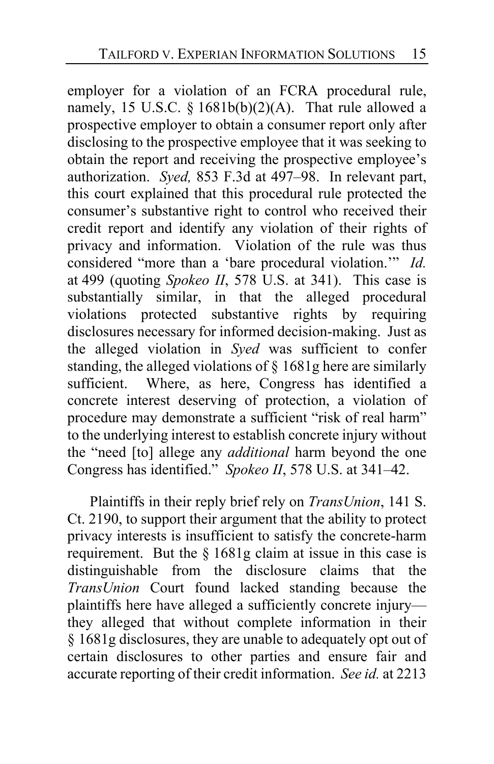employer for a violation of an FCRA procedural rule, namely, 15 U.S.C. §  $1681b(b)(2)(A)$ . That rule allowed a prospective employer to obtain a consumer report only after disclosing to the prospective employee that it was seeking to obtain the report and receiving the prospective employee's authorization. *Syed,* 853 F.3d at 497–98. In relevant part, this court explained that this procedural rule protected the consumer's substantive right to control who received their credit report and identify any violation of their rights of privacy and information. Violation of the rule was thus considered "more than a 'bare procedural violation.'" *Id.* at 499 (quoting *Spokeo II*, 578 U.S. at 341). This case is substantially similar, in that the alleged procedural violations protected substantive rights by requiring disclosures necessary for informed decision-making. Just as the alleged violation in *Syed* was sufficient to confer standing, the alleged violations of § 1681g here are similarly sufficient. Where, as here, Congress has identified a concrete interest deserving of protection, a violation of procedure may demonstrate a sufficient "risk of real harm" to the underlying interest to establish concrete injury without the "need [to] allege any *additional* harm beyond the one Congress has identified." *Spokeo II*, 578 U.S. at 341–42.

Plaintiffs in their reply brief rely on *TransUnion*, 141 S. Ct. 2190, to support their argument that the ability to protect privacy interests is insufficient to satisfy the concrete-harm requirement. But the § 1681g claim at issue in this case is distinguishable from the disclosure claims that the *TransUnion* Court found lacked standing because the plaintiffs here have alleged a sufficiently concrete injury they alleged that without complete information in their § 1681g disclosures, they are unable to adequately opt out of certain disclosures to other parties and ensure fair and accurate reporting of their credit information. *See id.* at 2213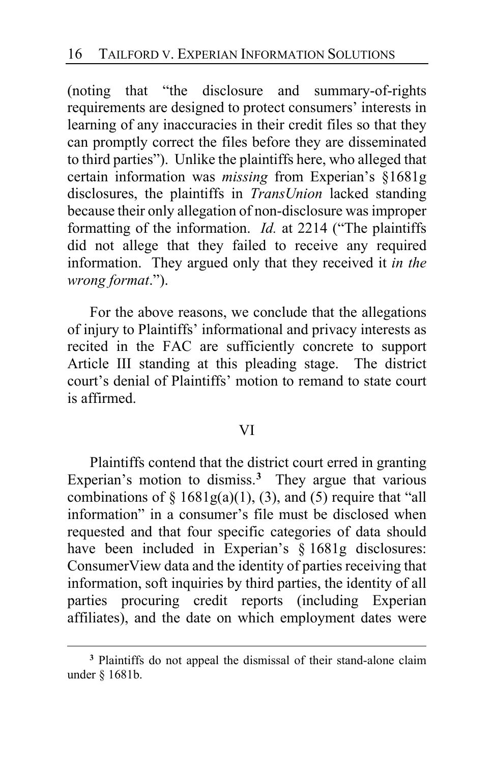(noting that "the disclosure and summary-of-rights requirements are designed to protect consumers' interests in learning of any inaccuracies in their credit files so that they can promptly correct the files before they are disseminated to third parties"). Unlike the plaintiffs here, who alleged that certain information was *missing* from Experian's §1681g disclosures, the plaintiffs in *TransUnion* lacked standing because their only allegation of non-disclosure was improper formatting of the information. *Id.* at 2214 ("The plaintiffs did not allege that they failed to receive any required information. They argued only that they received it *in the wrong format*.").

For the above reasons, we conclude that the allegations of injury to Plaintiffs' informational and privacy interests as recited in the FAC are sufficiently concrete to support Article III standing at this pleading stage. The district court's denial of Plaintiffs' motion to remand to state court is affirmed.

#### VI

Plaintiffs contend that the district court erred in granting Experian's motion to dismiss.**[3](#page-15-0)** They argue that various combinations of  $\S$  1681g(a)(1), (3), and (5) require that "all information" in a consumer's file must be disclosed when requested and that four specific categories of data should have been included in Experian's § 1681g disclosures: ConsumerView data and the identity of parties receiving that information, soft inquiries by third parties, the identity of all parties procuring credit reports (including Experian affiliates), and the date on which employment dates were

<span id="page-15-0"></span>**<sup>3</sup>** Plaintiffs do not appeal the dismissal of their stand-alone claim under § 1681b.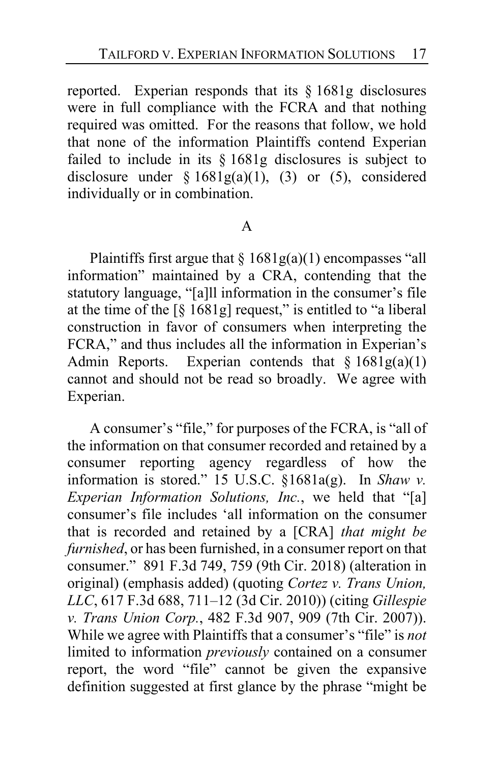reported. Experian responds that its § 1681g disclosures were in full compliance with the FCRA and that nothing required was omitted. For the reasons that follow, we hold that none of the information Plaintiffs contend Experian failed to include in its § 1681g disclosures is subject to disclosure under  $\{1681g(a)(1), (3) \text{ or } (5), \text{ considered} \}$ individually or in combination.

#### A

Plaintiffs first argue that  $\S 1681g(a)(1)$  encompasses "all information" maintained by a CRA, contending that the statutory language, "[a]ll information in the consumer's file at the time of the  $\lceil \S 1681g \rceil$  request," is entitled to "a liberal construction in favor of consumers when interpreting the FCRA," and thus includes all the information in Experian's Admin Reports. Experian contends that  $§ 1681g(a)(1)$ cannot and should not be read so broadly. We agree with Experian.

A consumer's "file," for purposes of the FCRA, is "all of the information on that consumer recorded and retained by a consumer reporting agency regardless of how the information is stored." 15 U.S.C. §1681a(g). In *Shaw v. Experian Information Solutions, Inc.*, we held that "[a] consumer's file includes 'all information on the consumer that is recorded and retained by a [CRA] *that might be furnished*, or has been furnished, in a consumer report on that consumer." 891 F.3d 749, 759 (9th Cir. 2018) (alteration in original) (emphasis added) (quoting *Cortez v. Trans Union, LLC*, 617 F.3d 688, 711–12 (3d Cir. 2010)) (citing *Gillespie v. Trans Union Corp.*, 482 F.3d 907, 909 (7th Cir. 2007)). While we agree with Plaintiffs that a consumer's "file" is *not* limited to information *previously* contained on a consumer report, the word "file" cannot be given the expansive definition suggested at first glance by the phrase "might be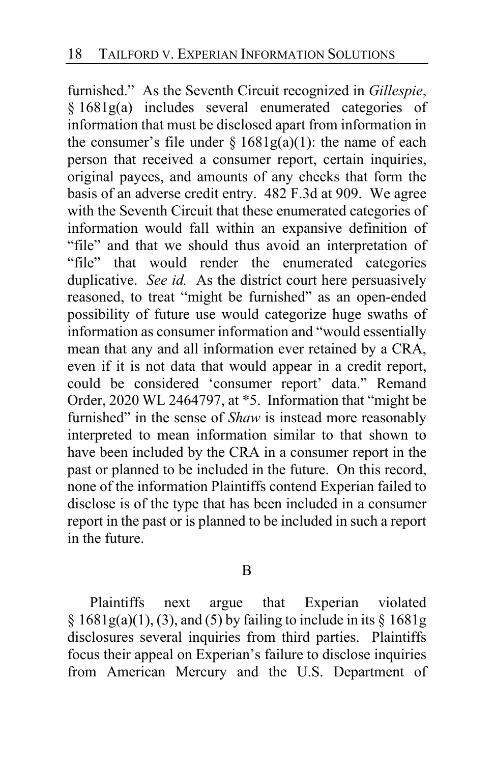furnished." As the Seventh Circuit recognized in *Gillespie*, § 1681g(a) includes several enumerated categories of information that must be disclosed apart from information in the consumer's file under  $\S 1681g(a)(1)$ : the name of each person that received a consumer report, certain inquiries, original payees, and amounts of any checks that form the basis of an adverse credit entry. 482 F.3d at 909. We agree with the Seventh Circuit that these enumerated categories of information would fall within an expansive definition of "file" and that we should thus avoid an interpretation of "file" that would render the enumerated categories duplicative. *See id.* As the district court here persuasively reasoned, to treat "might be furnished" as an open-ended possibility of future use would categorize huge swaths of information as consumer information and "would essentially mean that any and all information ever retained by a CRA, even if it is not data that would appear in a credit report, could be considered 'consumer report' data." Remand Order, 2020 WL 2464797, at \*5. Information that "might be furnished" in the sense of *Shaw* is instead more reasonably interpreted to mean information similar to that shown to have been included by the CRA in a consumer report in the past or planned to be included in the future. On this record, none of the information Plaintiffs contend Experian failed to disclose is of the type that has been included in a consumer report in the past or is planned to be included in such a report in the future.

B

Plaintiffs next argue that Experian violated  $\S$  1681g(a)(1), (3), and (5) by failing to include in its  $\S$  1681g disclosures several inquiries from third parties. Plaintiffs focus their appeal on Experian's failure to disclose inquiries from American Mercury and the U.S. Department of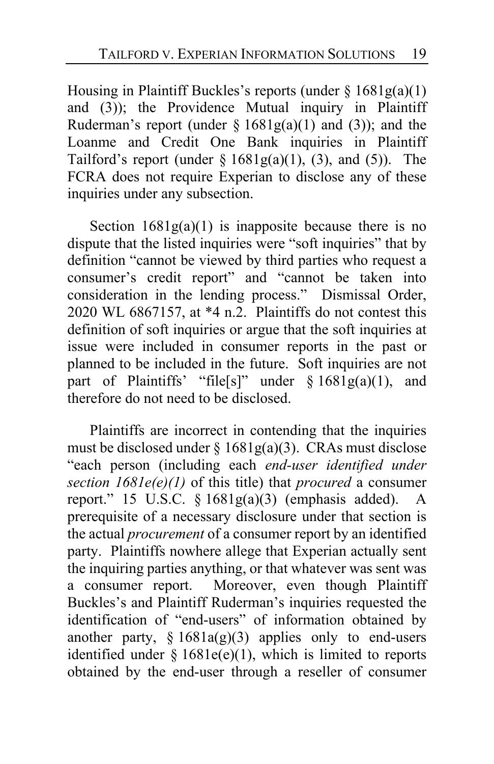Housing in Plaintiff Buckles's reports (under § 1681g(a)(1) and (3)); the Providence Mutual inquiry in Plaintiff Ruderman's report (under  $\S 1681g(a)(1)$  and (3)); and the Loanme and Credit One Bank inquiries in Plaintiff Tailford's report (under  $\S 1681g(a)(1)$ , (3), and (5)). The FCRA does not require Experian to disclose any of these inquiries under any subsection.

Section  $1681g(a)(1)$  is inapposite because there is no dispute that the listed inquiries were "soft inquiries" that by definition "cannot be viewed by third parties who request a consumer's credit report" and "cannot be taken into consideration in the lending process." Dismissal Order, 2020 WL 6867157, at \*4 n.2. Plaintiffs do not contest this definition of soft inquiries or argue that the soft inquiries at issue were included in consumer reports in the past or planned to be included in the future. Soft inquiries are not part of Plaintiffs' "file[s]" under  $\S 1681g(a)(1)$ , and therefore do not need to be disclosed.

Plaintiffs are incorrect in contending that the inquiries must be disclosed under  $\S 1681g(a)(3)$ . CRAs must disclose "each person (including each *end-user identified under section 1681e(e)(1)* of this title) that *procured* a consumer report." 15 U.S.C.  $\S 1681g(a)(3)$  (emphasis added). A prerequisite of a necessary disclosure under that section is the actual *procurement* of a consumer report by an identified party. Plaintiffs nowhere allege that Experian actually sent the inquiring parties anything, or that whatever was sent was a consumer report. Moreover, even though Plaintiff Buckles's and Plaintiff Ruderman's inquiries requested the identification of "end-users" of information obtained by another party,  $§ 1681a(g)(3)$  applies only to end-users identified under  $\S 1681e(e)(1)$ , which is limited to reports obtained by the end-user through a reseller of consumer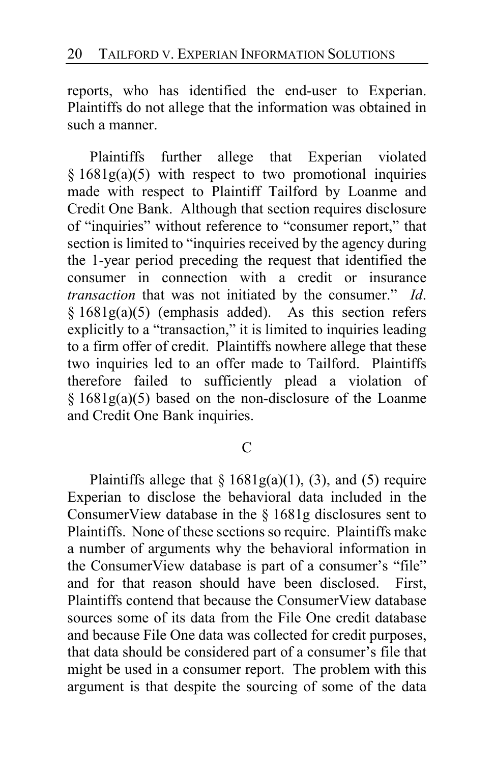reports, who has identified the end-user to Experian. Plaintiffs do not allege that the information was obtained in such a manner.

Plaintiffs further allege that Experian violated  $§ 1681g(a)(5)$  with respect to two promotional inquiries made with respect to Plaintiff Tailford by Loanme and Credit One Bank. Although that section requires disclosure of "inquiries" without reference to "consumer report," that section is limited to "inquiries received by the agency during the 1-year period preceding the request that identified the consumer in connection with a credit or insurance *transaction* that was not initiated by the consumer." *Id*. § 1681g(a)(5) (emphasis added). As this section refers explicitly to a "transaction," it is limited to inquiries leading to a firm offer of credit. Plaintiffs nowhere allege that these two inquiries led to an offer made to Tailford. Plaintiffs therefore failed to sufficiently plead a violation of § 1681g(a)(5) based on the non-disclosure of the Loanme and Credit One Bank inquiries.

#### $\mathcal{C}$

Plaintiffs allege that  $\S 1681g(a)(1)$ , (3), and (5) require Experian to disclose the behavioral data included in the ConsumerView database in the § 1681g disclosures sent to Plaintiffs. None of these sections so require. Plaintiffs make a number of arguments why the behavioral information in the ConsumerView database is part of a consumer's "file" and for that reason should have been disclosed. First, Plaintiffs contend that because the ConsumerView database sources some of its data from the File One credit database and because File One data was collected for credit purposes, that data should be considered part of a consumer's file that might be used in a consumer report. The problem with this argument is that despite the sourcing of some of the data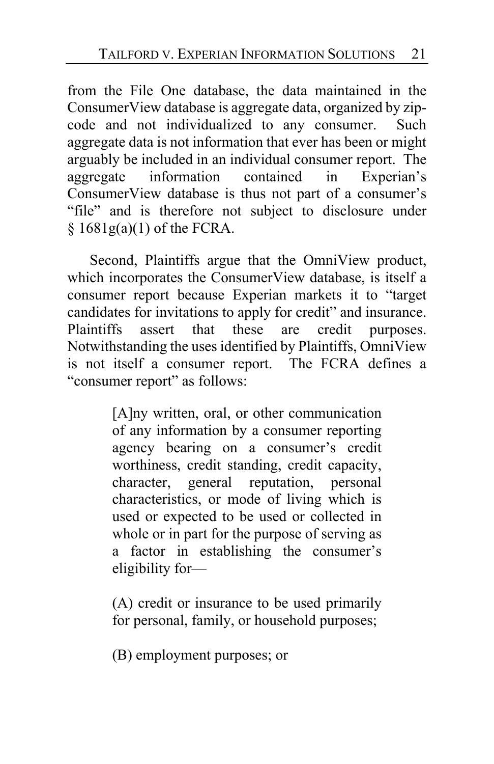from the File One database, the data maintained in the ConsumerView database is aggregate data, organized by zipcode and not individualized to any consumer. Such aggregate data is not information that ever has been or might arguably be included in an individual consumer report. The aggregate information contained in Experian's ConsumerView database is thus not part of a consumer's "file" and is therefore not subject to disclosure under  $§ 1681g(a)(1)$  of the FCRA.

Second, Plaintiffs argue that the OmniView product, which incorporates the ConsumerView database, is itself a consumer report because Experian markets it to "target candidates for invitations to apply for credit" and insurance. Plaintiffs assert that these are credit purposes. Notwithstanding the uses identified by Plaintiffs, OmniView is not itself a consumer report. The FCRA defines a "consumer report" as follows:

> [A]ny written, oral, or other communication of any information by a consumer reporting agency bearing on a consumer's credit worthiness, credit standing, credit capacity, character, general reputation, personal characteristics, or mode of living which is used or expected to be used or collected in whole or in part for the purpose of serving as a factor in establishing the consumer's eligibility for—

> (A) credit or insurance to be used primarily for personal, family, or household purposes;

(B) employment purposes; or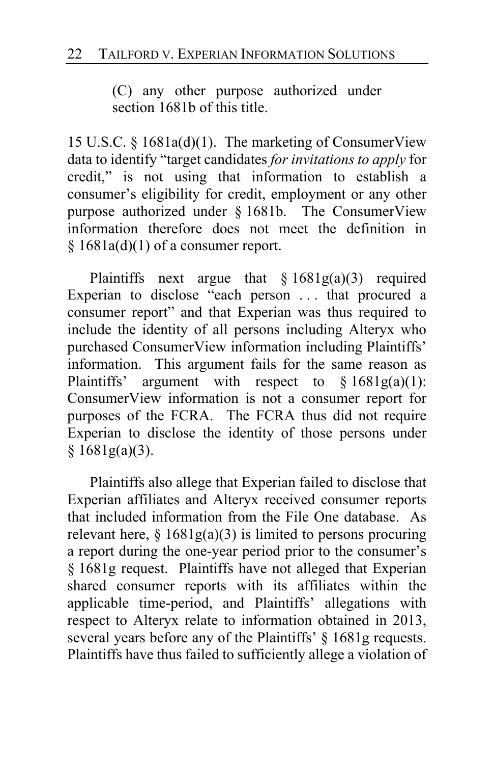(C) any other purpose authorized under section 1681b of this title.

15 U.S.C. § 1681a(d)(1). The marketing of ConsumerView data to identify "target candidates *for invitations to apply* for credit," is not using that information to establish a consumer's eligibility for credit, employment or any other purpose authorized under § 1681b. The ConsumerView information therefore does not meet the definition in  $§ 1681a(d)(1)$  of a consumer report.

Plaintiffs next argue that  $\S 1681g(a)(3)$  required Experian to disclose "each person ... that procured a consumer report" and that Experian was thus required to include the identity of all persons including Alteryx who purchased ConsumerView information including Plaintiffs' information. This argument fails for the same reason as Plaintiffs' argument with respect to  $\S 1681g(a)(1)$ : ConsumerView information is not a consumer report for purposes of the FCRA. The FCRA thus did not require Experian to disclose the identity of those persons under § 1681g(a)(3).

Plaintiffs also allege that Experian failed to disclose that Experian affiliates and Alteryx received consumer reports that included information from the File One database. As relevant here,  $\S 1681g(a)(3)$  is limited to persons procuring a report during the one-year period prior to the consumer's § 1681g request. Plaintiffs have not alleged that Experian shared consumer reports with its affiliates within the applicable time-period, and Plaintiffs' allegations with respect to Alteryx relate to information obtained in 2013, several years before any of the Plaintiffs' § 1681g requests. Plaintiffs have thus failed to sufficiently allege a violation of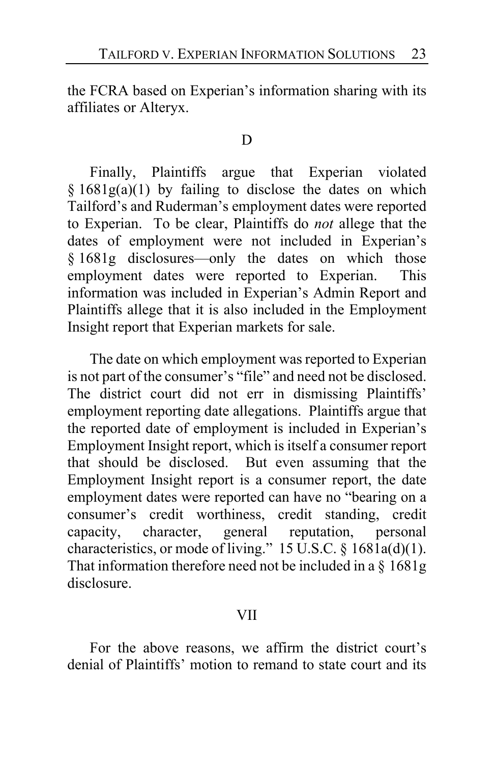the FCRA based on Experian's information sharing with its affiliates or Alteryx.

#### D

Finally, Plaintiffs argue that Experian violated  $§ 1681g(a)(1)$  by failing to disclose the dates on which Tailford's and Ruderman's employment dates were reported to Experian. To be clear, Plaintiffs do *not* allege that the dates of employment were not included in Experian's § 1681g disclosures—only the dates on which those employment dates were reported to Experian. This information was included in Experian's Admin Report and Plaintiffs allege that it is also included in the Employment Insight report that Experian markets for sale.

The date on which employment was reported to Experian is not part of the consumer's "file" and need not be disclosed. The district court did not err in dismissing Plaintiffs' employment reporting date allegations. Plaintiffs argue that the reported date of employment is included in Experian's Employment Insight report, which is itself a consumer report that should be disclosed. But even assuming that the Employment Insight report is a consumer report, the date employment dates were reported can have no "bearing on a consumer's credit worthiness, credit standing, credit capacity, character, general reputation, personal characteristics, or mode of living." 15 U.S.C.  $\S$  1681a(d)(1). That information therefore need not be included in a § 1681g disclosure.

#### VII

For the above reasons, we affirm the district court's denial of Plaintiffs' motion to remand to state court and its